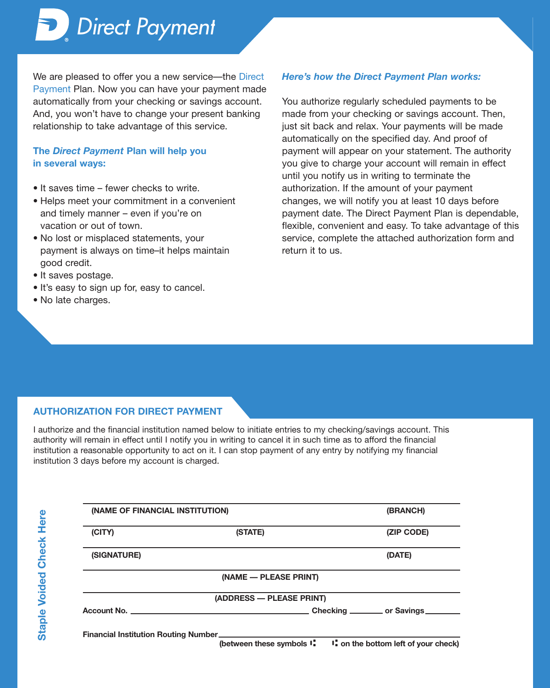*Direct Payment*

We are pleased to offer you a new service—the Direct Payment Plan. Now you can have your payment made automatically from your checking or savings account. And, you won't have to change your present banking relationship to take advantage of this service.

## **The** *Direct Payment* **Plan will help you in several ways:**

- It saves time fewer checks to write.
- Helps meet your commitment in a convenient and timely manner – even if you're on vacation or out of town.
- No lost or misplaced statements, your payment is always on time–it helps maintain good credit.
- It saves postage.
- It's easy to sign up for, easy to cancel.
- No late charges.

## *Here's how the Direct Payment Plan works:*

You authorize regularly scheduled payments to be made from your checking or savings account. Then, just sit back and relax. Your payments will be made automatically on the specified day. And proof of payment will appear on your statement. The authority you give to charge your account will remain in effect until you notify us in writing to terminate the authorization. If the amount of your payment changes, we will notify you at least 10 days before payment date. The Direct Payment Plan is dependable, flexible, convenient and easy. To take advantage of this service, complete the attached authorization form and return it to us.

## **AUTHORIZATION FOR DIRECT PAYMENT**

I authorize and the financial institution named below to initiate entries to my checking/savings account. This authority will remain in effect until I notify you in writing to cancel it in such time as to afford the financial institution a reasonable opportunity to act on it. I can stop payment of any entry by notifying my financial institution 3 days before my account is charged.

| l      |
|--------|
|        |
| ٢<br>I |
| ī      |
| ſ      |
|        |
|        |
| j      |
| C      |
|        |
|        |
| ľ<br>1 |
|        |
| ľ      |
| j      |
|        |
|        |
|        |
|        |
|        |
| C      |
|        |
|        |
|        |
| I      |
|        |
|        |

| (NAME OF FINANCIAL INSTITUTION) |                                                                          | (BRANCH)   |
|---------------------------------|--------------------------------------------------------------------------|------------|
| (CITY)                          | (STATE)                                                                  | (ZIP CODE) |
| (SIGNATURE)                     |                                                                          | (DATE)     |
|                                 | (NAME - PLEASE PRINT)                                                    |            |
|                                 | (ADDRESS - PLEASE PRINT)                                                 |            |
|                                 |                                                                          |            |
|                                 | Financial Institution Routing Number <b>Example 2018</b> 2019 12:30 2019 |            |
|                                 | (between these symbols $I_n$ $I_n$ on the bottom left of your check)     |            |